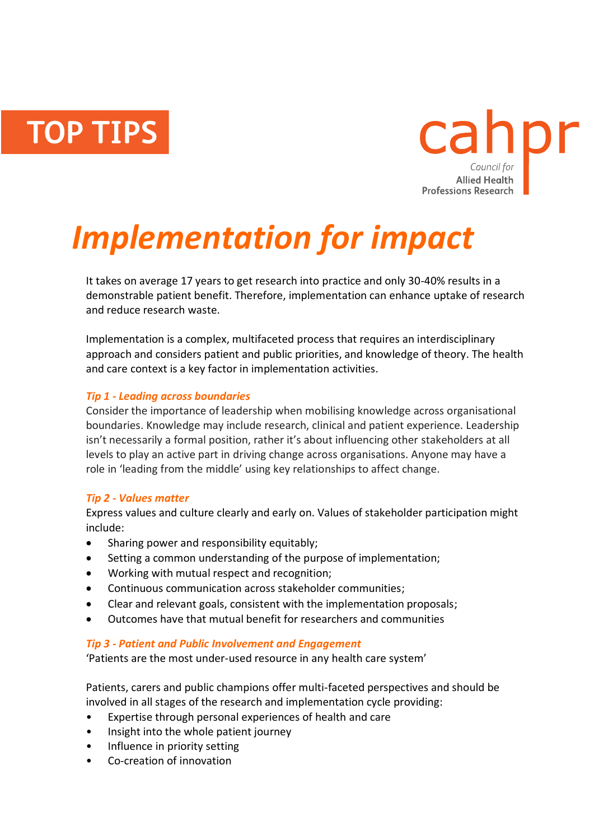**TOP TIPS** 



# *Implementation for impact*

It takes on average 17 years to get research into practice and only 30-40% results in a demonstrable patient benefit. Therefore, implementation can enhance uptake of research and reduce research waste.

Implementation is a complex, multifaceted process that requires an interdisciplinary approach and considers patient and public priorities, and knowledge of theory. The health and care context is a key factor in implementation activities.

# *Tip 1 - Leading across boundaries*

Consider the importance of leadership when mobilising knowledge across organisational boundaries. Knowledge may include research, clinical and patient experience. Leadership isn't necessarily a formal position, rather it's about influencing other stakeholders at all levels to play an active part in driving change across organisations. Anyone may have a role in 'leading from the middle' using key relationships to affect change.

#### *Tip 2 - Values matter*

Express values and culture clearly and early on. Values of stakeholder participation might include:

- Sharing power and responsibility equitably;
- Setting a common understanding of the purpose of implementation;
- Working with mutual respect and recognition;
- Continuous communication across stakeholder communities;
- Clear and relevant goals, consistent with the implementation proposals;
- Outcomes have that mutual benefit for researchers and communities

#### *Tip 3 - Patient and Public Involvement and Engagement*

'Patients are the most under-used resource in any health care system'

Patients, carers and public champions offer multi-faceted perspectives and should be involved in all stages of the research and implementation cycle providing:

- Expertise through personal experiences of health and care
- Insight into the whole patient journey
- Influence in priority setting
- Co-creation of innovation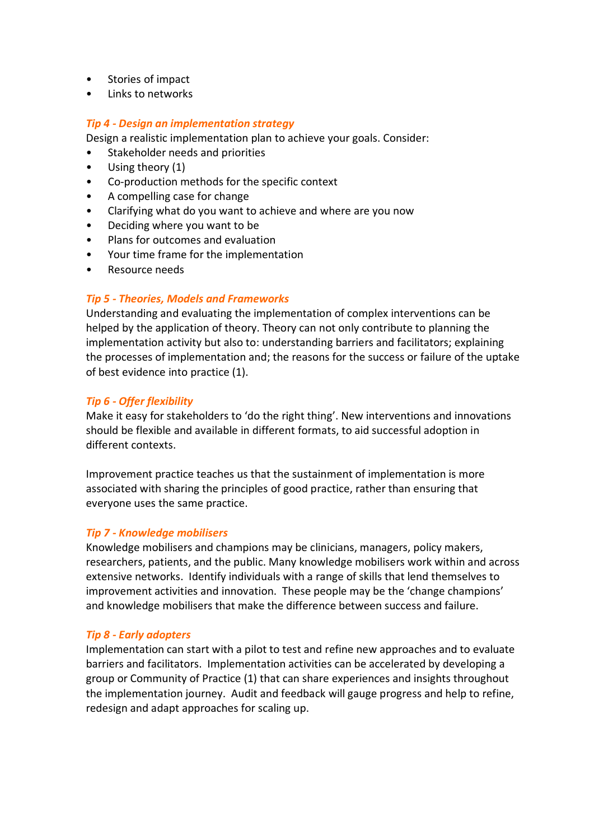- Stories of impact
- Links to networks

## *Tip 4 - Design an implementation strategy*

Design a realistic implementation plan to achieve your goals. Consider:

- Stakeholder needs and priorities
- Using theory (1)
- Co-production methods for the specific context
- A compelling case for change
- Clarifying what do you want to achieve and where are you now
- Deciding where you want to be
- Plans for outcomes and evaluation
- Your time frame for the implementation
- Resource needs

#### *Tip 5 - Theories, Models and Frameworks*

Understanding and evaluating the implementation of complex interventions can be helped by the application of theory. Theory can not only contribute to planning the implementation activity but also to: understanding barriers and facilitators; explaining the processes of implementation and; the reasons for the success or failure of the uptake of best evidence into practice (1).

# *Tip 6 - Offer flexibility*

Make it easy for stakeholders to 'do the right thing'. New interventions and innovations should be flexible and available in different formats, to aid successful adoption in different contexts.

Improvement practice teaches us that the sustainment of implementation is more associated with sharing the principles of good practice, rather than ensuring that everyone uses the same practice.

#### *Tip 7 - Knowledge mobilisers*

Knowledge mobilisers and champions may be clinicians, managers, policy makers, researchers, patients, and the public. Many knowledge mobilisers work within and across extensive networks. Identify individuals with a range of skills that lend themselves to improvement activities and innovation. These people may be the 'change champions' and knowledge mobilisers that make the difference between success and failure.

#### *Tip 8 - Early adopters*

Implementation can start with a pilot to test and refine new approaches and to evaluate barriers and facilitators. Implementation activities can be accelerated by developing a group or Community of Practice (1) that can share experiences and insights throughout the implementation journey. Audit and feedback will gauge progress and help to refine, redesign and adapt approaches for scaling up.